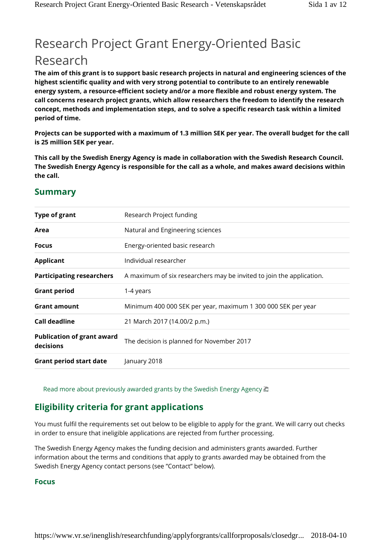# Research Project Grant Energy-Oriented Basic Research

**The aim of this grant is to support basic research projects in natural and engineering sciences of the highest scientific quality and with very strong potential to contribute to an entirely renewable energy system, a resource-efficient society and/or a more flexible and robust energy system. The call concerns research project grants, which allow researchers the freedom to identify the research concept, methods and implementation steps, and to solve a specific research task within a limited period of time.**

**Projects can be supported with a maximum of 1.3 million SEK per year. The overall budget for the call is 25 million SEK per year.**

**This call by the Swedish Energy Agency is made in collaboration with the Swedish Research Council. The Swedish Energy Agency is responsible for the call as a whole, and makes award decisions within the call.**

| <b>Type of grant</b>                           | Research Project funding                                             |
|------------------------------------------------|----------------------------------------------------------------------|
| Area                                           | Natural and Engineering sciences                                     |
| <b>Focus</b>                                   | Energy-oriented basic research                                       |
| <b>Applicant</b>                               | Individual researcher                                                |
| <b>Participating researchers</b>               | A maximum of six researchers may be invited to join the application. |
| <b>Grant period</b>                            | 1-4 years                                                            |
| <b>Grant amount</b>                            | Minimum 400 000 SEK per year, maximum 1 300 000 SEK per year         |
| <b>Call deadline</b>                           | 21 March 2017 (14.00/2 p.m.)                                         |
| <b>Publication of grant award</b><br>decisions | The decision is planned for November 2017                            |
| <b>Grant period start date</b>                 | January 2018                                                         |
|                                                |                                                                      |

## **Summary**

Read more about previously awarded grants by the Swedish Energy Agency  $\blacksquare$ 

# **Eligibility criteria for grant applications**

You must fulfil the requirements set out below to be eligible to apply for the grant. We will carry out checks in order to ensure that ineligible applications are rejected from further processing.

The Swedish Energy Agency makes the funding decision and administers grants awarded. Further information about the terms and conditions that apply to grants awarded may be obtained from the Swedish Energy Agency contact persons (see "Contact" below).

#### **Focus**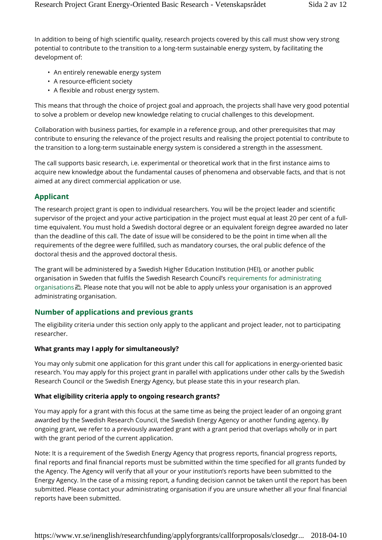In addition to being of high scientific quality, research projects covered by this call must show very strong potential to contribute to the transition to a long-term sustainable energy system, by facilitating the development of:

- An entirely renewable energy system
- A resource-efficient society
- A flexible and robust energy system.

This means that through the choice of project goal and approach, the projects shall have very good potential to solve a problem or develop new knowledge relating to crucial challenges to this development.

Collaboration with business parties, for example in a reference group, and other prerequisites that may contribute to ensuring the relevance of the project results and realising the project potential to contribute to the transition to a long-term sustainable energy system is considered a strength in the assessment.

The call supports basic research, i.e. experimental or theoretical work that in the first instance aims to acquire new knowledge about the fundamental causes of phenomena and observable facts, and that is not aimed at any direct commercial application or use.

#### **Applicant**

The research project grant is open to individual researchers. You will be the project leader and scientific supervisor of the project and your active participation in the project must equal at least 20 per cent of a fulltime equivalent. You must hold a Swedish doctoral degree or an equivalent foreign degree awarded no later than the deadline of this call. The date of issue will be considered to be the point in time when all the requirements of the degree were fulfilled, such as mandatory courses, the oral public defence of the doctoral thesis and the approved doctoral thesis.

The grant will be administered by a Swedish Higher Education Institution (HEI), or another public organisation in Sweden that fulfils the Swedish Research Council's requirements for administrating organisations  $\Box$ . Please note that you will not be able to apply unless your organisation is an approved administrating organisation.

#### **Number of applications and previous grants**

The eligibility criteria under this section only apply to the applicant and project leader, not to participating researcher.

#### **What grants may I apply for simultaneously?**

You may only submit one application for this grant under this call for applications in energy-oriented basic research. You may apply for this project grant in parallel with applications under other calls by the Swedish Research Council or the Swedish Energy Agency, but please state this in your research plan.

#### **What eligibility criteria apply to ongoing research grants?**

You may apply for a grant with this focus at the same time as being the project leader of an ongoing grant awarded by the Swedish Research Council, the Swedish Energy Agency or another funding agency. By ongoing grant, we refer to a previously awarded grant with a grant period that overlaps wholly or in part with the grant period of the current application.

Note: It is a requirement of the Swedish Energy Agency that progress reports, financial progress reports, final reports and final financial reports must be submitted within the time specified for all grants funded by the Agency. The Agency will verify that all your or your institution's reports have been submitted to the Energy Agency. In the case of a missing report, a funding decision cannot be taken until the report has been submitted. Please contact your administrating organisation if you are unsure whether all your final financial reports have been submitted.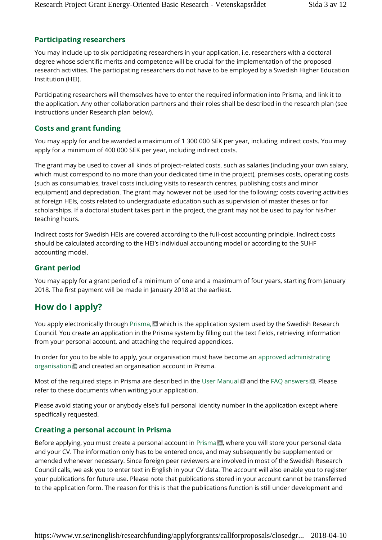# **Participating researchers**

You may include up to six participating researchers in your application, i.e. researchers with a doctoral degree whose scientific merits and competence will be crucial for the implementation of the proposed research activities. The participating researchers do not have to be employed by a Swedish Higher Education Institution (HEI).

Participating researchers will themselves have to enter the required information into Prisma, and link it to the application. Any other collaboration partners and their roles shall be described in the research plan (see instructions under Research plan below).

# **Costs and grant funding**

You may apply for and be awarded a maximum of 1 300 000 SEK per year, including indirect costs. You may apply for a minimum of 400 000 SEK per year, including indirect costs.

The grant may be used to cover all kinds of project-related costs, such as salaries (including your own salary, which must correspond to no more than your dedicated time in the project), premises costs, operating costs (such as consumables, travel costs including visits to research centres, publishing costs and minor equipment) and depreciation. The grant may however not be used for the following: costs covering activities at foreign HEIs, costs related to undergraduate education such as supervision of master theses or for scholarships. If a doctoral student takes part in the project, the grant may not be used to pay for his/her teaching hours.

Indirect costs for Swedish HEIs are covered according to the full-cost accounting principle. Indirect costs should be calculated according to the HEI's individual accounting model or according to the SUHF accounting model.

#### **Grant period**

You may apply for a grant period of a minimum of one and a maximum of four years, starting from January 2018. The first payment will be made in January 2018 at the earliest.

# **How do I apply?**

You apply electronically through Prisma,  $\blacksquare$  which is the application system used by the Swedish Research Council. You create an application in the Prisma system by filling out the text fields, retrieving information from your personal account, and attaching the required appendices.

In order for you to be able to apply, your organisation must have become an approved administrating organisation  $\Box$  and created an organisation account in Prisma.

Most of the required steps in Prisma are described in the User Manual and the FAQ answers . Please refer to these documents when writing your application.

Please avoid stating your or anybody else's full personal identity number in the application except where specifically requested.

#### **Creating a personal account in Prisma**

Before applying, you must create a personal account in Prisma $\Box$ , where you will store your personal data and your CV. The information only has to be entered once, and may subsequently be supplemented or amended whenever necessary. Since foreign peer reviewers are involved in most of the Swedish Research Council calls, we ask you to enter text in English in your CV data. The account will also enable you to register your publications for future use. Please note that publications stored in your account cannot be transferred to the application form. The reason for this is that the publications function is still under development and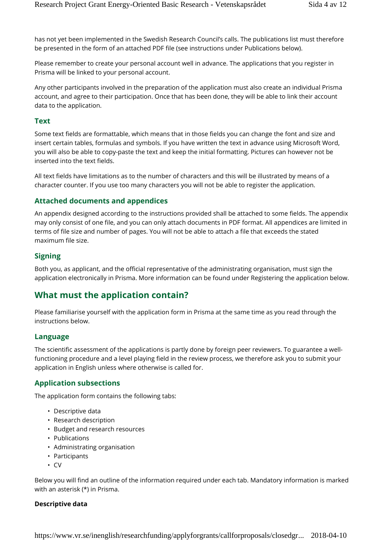has not yet been implemented in the Swedish Research Council's calls. The publications list must therefore be presented in the form of an attached PDF file (see instructions under Publications below).

Please remember to create your personal account well in advance. The applications that you register in Prisma will be linked to your personal account.

Any other participants involved in the preparation of the application must also create an individual Prisma account, and agree to their participation. Once that has been done, they will be able to link their account data to the application.

#### **Text**

Some text fields are formattable, which means that in those fields you can change the font and size and insert certain tables, formulas and symbols. If you have written the text in advance using Microsoft Word, you will also be able to copy-paste the text and keep the initial formatting. Pictures can however not be inserted into the text fields.

All text fields have limitations as to the number of characters and this will be illustrated by means of a character counter. If you use too many characters you will not be able to register the application.

#### **Attached documents and appendices**

An appendix designed according to the instructions provided shall be attached to some fields. The appendix may only consist of one file, and you can only attach documents in PDF format. All appendices are limited in terms of file size and number of pages. You will not be able to attach a file that exceeds the stated maximum file size.

#### **Signing**

Both you, as applicant, and the official representative of the administrating organisation, must sign the application electronically in Prisma. More information can be found under Registering the application below.

# **What must the application contain?**

Please familiarise yourself with the application form in Prisma at the same time as you read through the instructions below.

#### **Language**

The scientific assessment of the applications is partly done by foreign peer reviewers. To guarantee a wellfunctioning procedure and a level playing field in the review process, we therefore ask you to submit your application in English unless where otherwise is called for.

#### **Application subsections**

The application form contains the following tabs:

- Descriptive data
- Research description
- Budget and research resources
- Publications
- Administrating organisation
- Participants
- CV

Below you will find an outline of the information required under each tab. Mandatory information is marked with an asterisk (\*) in Prisma.

#### **Descriptive data**

https://www.vr.se/inenglish/researchfunding/applyforgrants/callforproposals/closedgr... 2018-04-10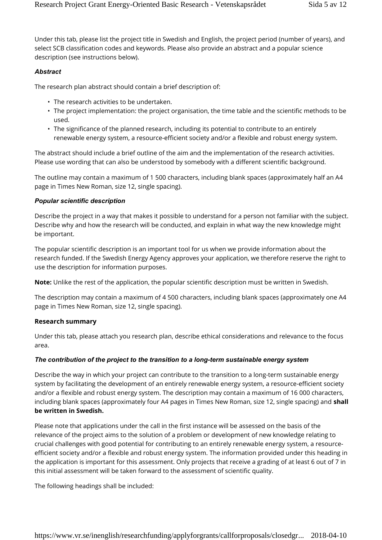Under this tab, please list the project title in Swedish and English, the project period (number of years), and select SCB classification codes and keywords. Please also provide an abstract and a popular science description (see instructions below).

#### *Abstract*

The research plan abstract should contain a brief description of:

- The research activities to be undertaken.
- The project implementation: the project organisation, the time table and the scientific methods to be used.
- The significance of the planned research, including its potential to contribute to an entirely renewable energy system, a resource-efficient society and/or a flexible and robust energy system.

The abstract should include a brief outline of the aim and the implementation of the research activities. Please use wording that can also be understood by somebody with a different scientific background.

The outline may contain a maximum of 1 500 characters, including blank spaces (approximately half an A4 page in Times New Roman, size 12, single spacing).

#### *Popular scientific description*

Describe the project in a way that makes it possible to understand for a person not familiar with the subject. Describe why and how the research will be conducted, and explain in what way the new knowledge might be important.

The popular scientific description is an important tool for us when we provide information about the research funded. If the Swedish Energy Agency approves your application, we therefore reserve the right to use the description for information purposes.

**Note:** Unlike the rest of the application, the popular scientific description must be written in Swedish.

The description may contain a maximum of 4 500 characters, including blank spaces (approximately one A4 page in Times New Roman, size 12, single spacing).

#### **Research summary**

Under this tab, please attach you research plan, describe ethical considerations and relevance to the focus area.

#### *The contribution of the project to the transition to a long-term sustainable energy system*

Describe the way in which your project can contribute to the transition to a long-term sustainable energy system by facilitating the development of an entirely renewable energy system, a resource-efficient society and/or a flexible and robust energy system. The description may contain a maximum of 16 000 characters, including blank spaces (approximately four A4 pages in Times New Roman, size 12, single spacing) and **shall be written in Swedish.**

Please note that applications under the call in the first instance will be assessed on the basis of the relevance of the project aims to the solution of a problem or development of new knowledge relating to crucial challenges with good potential for contributing to an entirely renewable energy system, a resourceefficient society and/or a flexible and robust energy system. The information provided under this heading in the application is important for this assessment. Only projects that receive a grading of at least 6 out of 7 in this initial assessment will be taken forward to the assessment of scientific quality.

The following headings shall be included: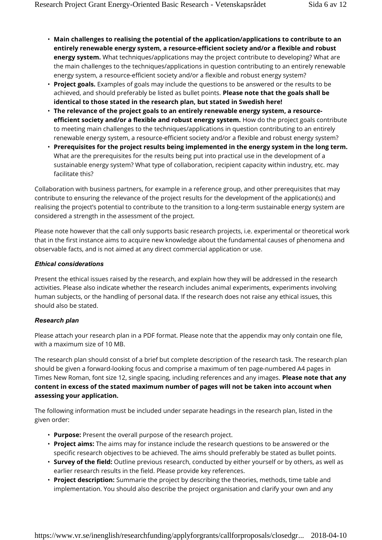- **Main challenges to realising the potential of the application/applications to contribute to an entirely renewable energy system, a resource-efficient society and/or a flexible and robust energy system.** What techniques/applications may the project contribute to developing? What are the main challenges to the techniques/applications in question contributing to an entirely renewable energy system, a resource-efficient society and/or a flexible and robust energy system?
- **Project goals.** Examples of goals may include the questions to be answered or the results to be achieved, and should preferably be listed as bullet points. **Please note that the goals shall be identical to those stated in the research plan, but stated in Swedish here!**
- **The relevance of the project goals to an entirely renewable energy system, a resourceefficient society and/or a flexible and robust energy system.** How do the project goals contribute to meeting main challenges to the techniques/applications in question contributing to an entirely renewable energy system, a resource-efficient society and/or a flexible and robust energy system?
- **Prerequisites for the project results being implemented in the energy system in the long term.** What are the prerequisites for the results being put into practical use in the development of a sustainable energy system? What type of collaboration, recipient capacity within industry, etc. may facilitate this?

Collaboration with business partners, for example in a reference group, and other prerequisites that may contribute to ensuring the relevance of the project results for the development of the application(s) and realising the project's potential to contribute to the transition to a long-term sustainable energy system are considered a strength in the assessment of the project.

Please note however that the call only supports basic research projects, i.e. experimental or theoretical work that in the first instance aims to acquire new knowledge about the fundamental causes of phenomena and observable facts, and is not aimed at any direct commercial application or use.

#### *Ethical considerations*

Present the ethical issues raised by the research, and explain how they will be addressed in the research activities. Please also indicate whether the research includes animal experiments, experiments involving human subjects, or the handling of personal data. If the research does not raise any ethical issues, this should also be stated.

#### *Research plan*

Please attach your research plan in a PDF format. Please note that the appendix may only contain one file, with a maximum size of 10 MB.

The research plan should consist of a brief but complete description of the research task. The research plan should be given a forward-looking focus and comprise a maximum of ten page-numbered A4 pages in Times New Roman, font size 12, single spacing, including references and any images. **Please note that any content in excess of the stated maximum number of pages will not be taken into account when assessing your application.**

The following information must be included under separate headings in the research plan, listed in the given order:

- **Purpose:** Present the overall purpose of the research project.
- **Project aims:** The aims may for instance include the research questions to be answered or the specific research objectives to be achieved. The aims should preferably be stated as bullet points.
- **Survey of the field:** Outline previous research, conducted by either yourself or by others, as well as earlier research results in the field. Please provide key references.
- **Project description:** Summarie the project by describing the theories, methods, time table and implementation. You should also describe the project organisation and clarify your own and any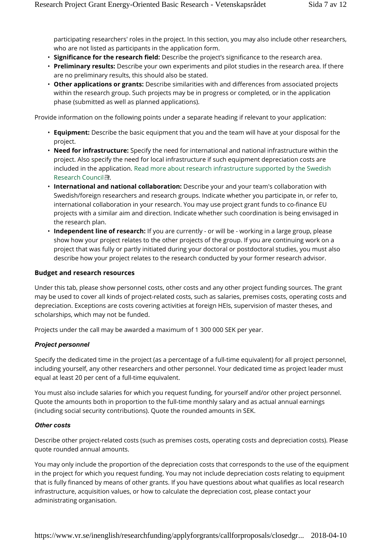participating researchers' roles in the project. In this section, you may also include other researchers, who are not listed as participants in the application form.

- **Significance for the research field:** Describe the project's significance to the research area.
- **Preliminary results:** Describe your own experiments and pilot studies in the research area. If there are no preliminary results, this should also be stated.
- **Other applications or grants:** Describe similarities with and differences from associated projects within the research group. Such projects may be in progress or completed, or in the application phase (submitted as well as planned applications).

Provide information on the following points under a separate heading if relevant to your application:

- **Equipment:** Describe the basic equipment that you and the team will have at your disposal for the project.
- **Need for infrastructure:** Specify the need for international and national infrastructure within the project. Also specify the need for local infrastructure if such equipment depreciation costs are included in the application. Read more about research infrastructure supported by the Swedish Research Council  $\blacksquare$ .
- **International and national collaboration:** Describe your and your team's collaboration with Swedish/foreign researchers and research groups. Indicate whether you participate in, or refer to, international collaboration in your research. You may use project grant funds to co-finance EU projects with a similar aim and direction. Indicate whether such coordination is being envisaged in the research plan.
- **Independent line of research:** If you are currently or will be working in a large group, please show how your project relates to the other projects of the group. If you are continuing work on a project that was fully or partly initiated during your doctoral or postdoctoral studies, you must also describe how your project relates to the research conducted by your former research advisor.

#### **Budget and research resources**

Under this tab, please show personnel costs, other costs and any other project funding sources. The grant may be used to cover all kinds of project-related costs, such as salaries, premises costs, operating costs and depreciation. Exceptions are costs covering activities at foreign HEIs, supervision of master theses, and scholarships, which may not be funded.

Projects under the call may be awarded a maximum of 1 300 000 SEK per year.

#### *Project personnel*

Specify the dedicated time in the project (as a percentage of a full-time equivalent) for all project personnel, including yourself, any other researchers and other personnel. Your dedicated time as project leader must equal at least 20 per cent of a full-time equivalent.

You must also include salaries for which you request funding, for yourself and/or other project personnel. Quote the amounts both in proportion to the full-time monthly salary and as actual annual earnings (including social security contributions). Quote the rounded amounts in SEK.

#### *Other costs*

Describe other project-related costs (such as premises costs, operating costs and depreciation costs). Please quote rounded annual amounts.

You may only include the proportion of the depreciation costs that corresponds to the use of the equipment in the project for which you request funding. You may not include depreciation costs relating to equipment that is fully financed by means of other grants. If you have questions about what qualifies as local research infrastructure, acquisition values, or how to calculate the depreciation cost, please contact your administrating organisation.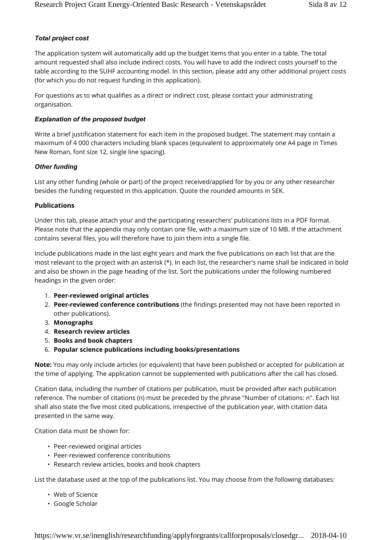#### *Total project cost*

The application system will automatically add up the budget items that you enter in a table. The total amount requested shall also include indirect costs. You will have to add the indirect costs yourself to the table according to the SUHF accounting model. In this section, please add any other additional project costs (for which you do not request funding in this application).

For questions as to what qualifies as a direct or indirect cost, please contact your administrating organisation.

#### *Explanation of the proposed budget*

Write a brief justification statement for each item in the proposed budget. The statement may contain a maximum of 4 000 characters including blank spaces (equivalent to approximately one A4 page in Times New Roman, font size 12, single line spacing).

#### *Other funding*

List any other funding (whole or part) of the project received/applied for by you or any other researcher besides the funding requested in this application. Quote the rounded amounts in SEK.

#### **Publications**

Under this tab, please attach your and the participating researchers' publications lists in a PDF format. Please note that the appendix may only contain one file, with a maximum size of 10 MB. If the attachment contains several files, you will therefore have to join them into a single file.

Include publications made in the last eight years and mark the five publications on each list that are the most relevant to the project with an asterisk (\*). In each list, the researcher's name shall be indicated in bold and also be shown in the page heading of the list. Sort the publications under the following numbered headings in the given order:

- 1. **Peer-reviewed original articles**
- 2. **Peer-reviewed conference contributions** (the findings presented may not have been reported in other publications).
- 3. **Monographs**
- 4. **Research review articles**
- 5. **Books and book chapters**
- 6. **Popular science publications including books/presentations**

**Note:** You may only include articles (or equivalent) that have been published or accepted for publication at the time of applying. The application cannot be supplemented with publications after the call has closed.

Citation data, including the number of citations per publication, must be provided after each publication reference. The number of citations (n) must be preceded by the phrase "Number of citations: n". Each list shall also state the five most cited publications, irrespective of the publication year, with citation data presented in the same way.

Citation data must be shown for:

- Peer-reviewed original articles
- Peer-reviewed conference contributions
- Research review articles, books and book chapters

List the database used at the top of the publications list. You may choose from the following databases:

- Web of Science
- Google Scholar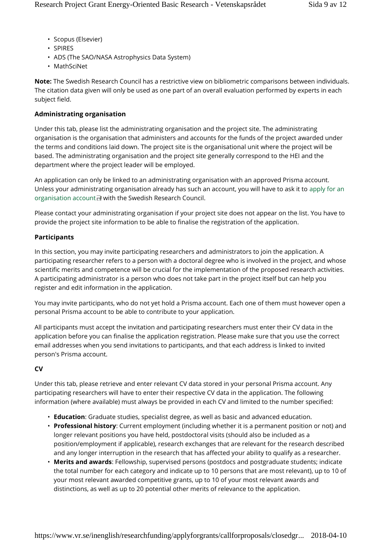- Scopus (Elsevier)
- SPIRES
- ADS (The SAO/NASA Astrophysics Data System)
- MathSciNet

**Note:** The Swedish Research Council has a restrictive view on bibliometric comparisons between individuals. The citation data given will only be used as one part of an overall evaluation performed by experts in each subject field.

#### **Administrating organisation**

Under this tab, please list the administrating organisation and the project site. The administrating organisation is the organisation that administers and accounts for the funds of the project awarded under the terms and conditions laid down. The project site is the organisational unit where the project will be based. The administrating organisation and the project site generally correspond to the HEI and the department where the project leader will be employed.

An application can only be linked to an administrating organisation with an approved Prisma account. Unless your administrating organisation already has such an account, you will have to ask it to apply for an organisation account with the Swedish Research Council.

Please contact your administrating organisation if your project site does not appear on the list. You have to provide the project site information to be able to finalise the registration of the application.

#### **Participants**

In this section, you may invite participating researchers and administrators to join the application. A participating researcher refers to a person with a doctoral degree who is involved in the project, and whose scientific merits and competence will be crucial for the implementation of the proposed research activities. A participating administrator is a person who does not take part in the project itself but can help you register and edit information in the application.

You may invite participants, who do not yet hold a Prisma account. Each one of them must however open a personal Prisma account to be able to contribute to your application.

All participants must accept the invitation and participating researchers must enter their CV data in the application before you can finalise the application registration. Please make sure that you use the correct email addresses when you send invitations to participants, and that each address is linked to invited person's Prisma account.

#### **CV**

Under this tab, please retrieve and enter relevant CV data stored in your personal Prisma account. Any participating researchers will have to enter their respective CV data in the application. The following information (where available) must always be provided in each CV and limited to the number specified:

- **Education**: Graduate studies, specialist degree, as well as basic and advanced education.
- **Professional history**: Current employment (including whether it is a permanent position or not) and longer relevant positions you have held, postdoctoral visits (should also be included as a position/employment if applicable), research exchanges that are relevant for the research described and any longer interruption in the research that has affected your ability to qualify as a researcher.
- **Merits and awards**: Fellowship, supervised persons (postdocs and postgraduate students; indicate the total number for each category and indicate up to 10 persons that are most relevant), up to 10 of your most relevant awarded competitive grants, up to 10 of your most relevant awards and distinctions, as well as up to 20 potential other merits of relevance to the application.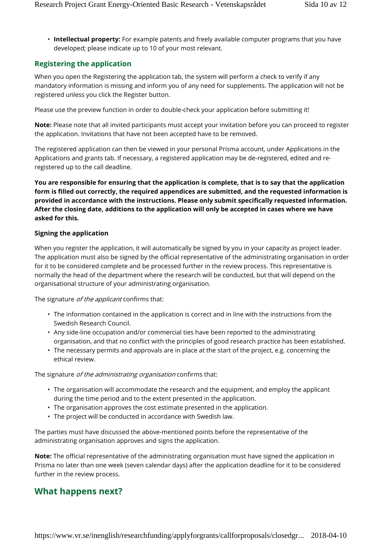• **Intellectual property:** For example patents and freely available computer programs that you have developed; please indicate up to 10 of your most relevant.

# **Registering the application**

When you open the Registering the application tab, the system will perform a check to verify if any mandatory information is missing and inform you of any need for supplements. The application will not be registered unless you click the Register button.

Please use the preview function in order to double-check your application before submitting it!

**Note:** Please note that all invited participants must accept your invitation before you can proceed to register the application. Invitations that have not been accepted have to be removed.

The registered application can then be viewed in your personal Prisma account, under Applications in the Applications and grants tab. If necessary, a registered application may be de-registered, edited and reregistered up to the call deadline.

**You are responsible for ensuring that the application is complete, that is to say that the application form is filled out correctly, the required appendices are submitted, and the requested information is provided in accordance with the instructions. Please only submit specifically requested information. After the closing date, additions to the application will only be accepted in cases where we have asked for this.**

### **Signing the application**

When you register the application, it will automatically be signed by you in your capacity as project leader. The application must also be signed by the official representative of the administrating organisation in order for it to be considered complete and be processed further in the review process. This representative is normally the head of the department where the research will be conducted, but that will depend on the organisational structure of your administrating organisation.

The signature *of the applicant* confirms that:

- The information contained in the application is correct and in line with the instructions from the Swedish Research Council.
- Any side-line occupation and/or commercial ties have been reported to the administrating organisation, and that no conflict with the principles of good research practice has been established.
- The necessary permits and approvals are in place at the start of the project, e.g. concerning the ethical review.

The signature *of the administrating organisation* confirms that:

- The organisation will accommodate the research and the equipment, and employ the applicant during the time period and to the extent presented in the application.
- The organisation approves the cost estimate presented in the application.
- The project will be conducted in accordance with Swedish law.

The parties must have discussed the above-mentioned points before the representative of the administrating organisation approves and signs the application.

**Note:** The official representative of the administrating organisation must have signed the application in Prisma no later than one week (seven calendar days) after the application deadline for it to be considered further in the review process.

# **What happens next?**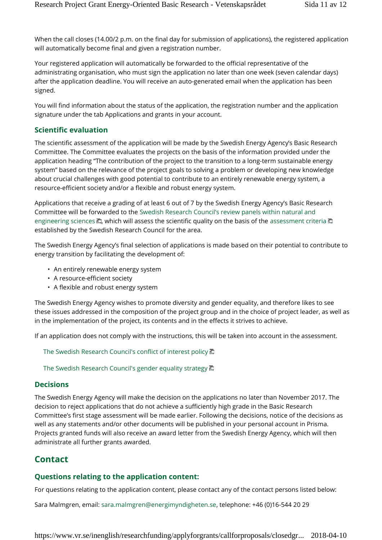When the call closes (14.00/2 p.m. on the final day for submission of applications), the registered application will automatically become final and given a registration number.

Your registered application will automatically be forwarded to the official representative of the administrating organisation, who must sign the application no later than one week (seven calendar days) after the application deadline. You will receive an auto-generated email when the application has been signed.

You will find information about the status of the application, the registration number and the application signature under the tab Applications and grants in your account.

#### **Scientific evaluation**

The scientific assessment of the application will be made by the Swedish Energy Agency's Basic Research Committee. The Committee evaluates the projects on the basis of the information provided under the application heading "The contribution of the project to the transition to a long-term sustainable energy system" based on the relevance of the project goals to solving a problem or developing new knowledge about crucial challenges with good potential to contribute to an entirely renewable energy system, a resource-efficient society and/or a flexible and robust energy system.

Applications that receive a grading of at least 6 out of 7 by the Swedish Energy Agency's Basic Research Committee will be forwarded to the Swedish Research Council's review panels within natural and engineering sciences  $\Box$ , which will assess the scientific quality on the basis of the assessment criteria  $\Box$ established by the Swedish Research Council for the area.

The Swedish Energy Agency's final selection of applications is made based on their potential to contribute to energy transition by facilitating the development of:

- An entirely renewable energy system
- A resource-efficient society
- A flexible and robust energy system

The Swedish Energy Agency wishes to promote diversity and gender equality, and therefore likes to see these issues addressed in the composition of the project group and in the choice of project leader, as well as in the implementation of the project, its contents and in the effects it strives to achieve.

If an application does not comply with the instructions, this will be taken into account in the assessment.

The Swedish Research Council's conflict of interest policy

The Swedish Research Council's gender equality strategy  $\Box$ 

#### **Decisions**

The Swedish Energy Agency will make the decision on the applications no later than November 2017. The decision to reject applications that do not achieve a sufficiently high grade in the Basic Research Committee's first stage assessment will be made earlier. Following the decisions, notice of the decisions as well as any statements and/or other documents will be published in your personal account in Prisma. Projects granted funds will also receive an award letter from the Swedish Energy Agency, which will then administrate all further grants awarded.

## **Contact**

#### **Questions relating to the application content:**

For questions relating to the application content, please contact any of the contact persons listed below:

Sara Malmgren, email: sara.malmgren@energimyndigheten.se, telephone: +46 (0)16-544 20 29